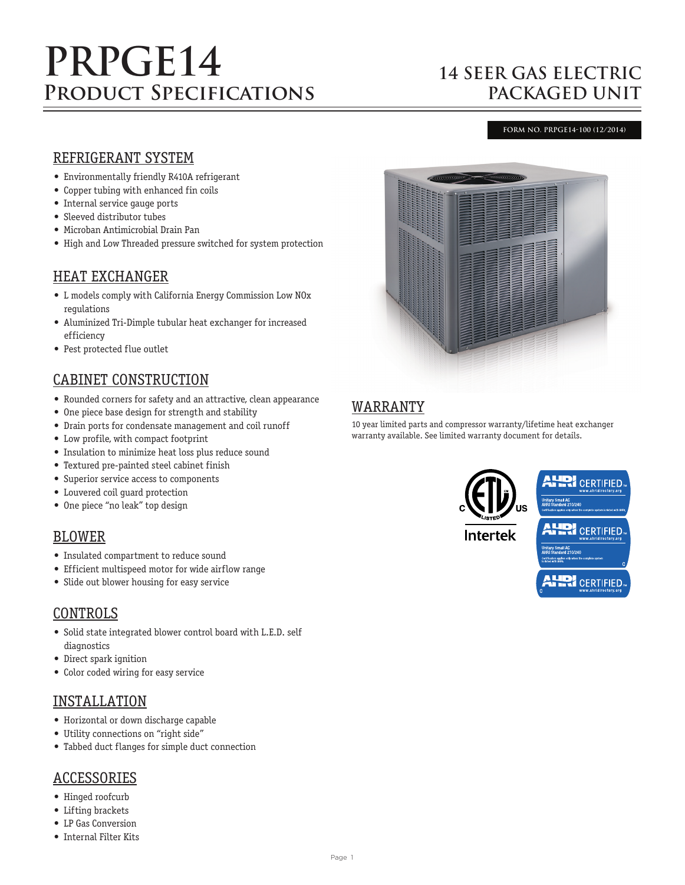# **PRPGE14 Product Specifications**

# **14 SEER GAS ELECTRIC PACKAGED UNIT**

#### **FORM NO. PRPGE14-100 (12/2014)**

#### REFRIGERANT SYSTEM

- Environmentally friendly R410A refrigerant
- Copper tubing with enhanced fin coils
- Internal service gauge ports
- Sleeved distributor tubes
- Microban Antimicrobial Drain Pan
- High and Low Threaded pressure switched for system protection

#### HEAT EXCHANGER

- L models comply with California Energy Commission Low NOx regulations
- Aluminized Tri-Dimple tubular heat exchanger for increased efficiency
- Pest protected flue outlet

## CABINET CONSTRUCTION

- Rounded corners for safety and an attractive, clean appearance
- One piece base design for strength and stability
- Drain ports for condensate management and coil runoff
- Low profile, with compact footprint
- Insulation to minimize heat loss plus reduce sound
- Textured pre-painted steel cabinet finish
- Superior service access to components
- Louvered coil guard protection
- One piece "no leak" top design

#### BLOWER

- Insulated compartment to reduce sound
- Efficient multispeed motor for wide airflow range
- Slide out blower housing for easy service

## CONTROLS

- Solid state integrated blower control board with L.E.D. self diagnostics
- Direct spark ignition
- Color coded wiring for easy service

#### INSTALLATION

- Horizontal or down discharge capable
- Utility connections on "right side"
- Tabbed duct flanges for simple duct connection

#### ACCESSORIES

- Hinged roofcurb
- Lifting brackets
- LP Gas Conversion
- Internal Filter Kits



## WARRANTY

10 year limited parts and compressor warranty/lifetime heat exchanger warranty available. See limited warranty document for details.

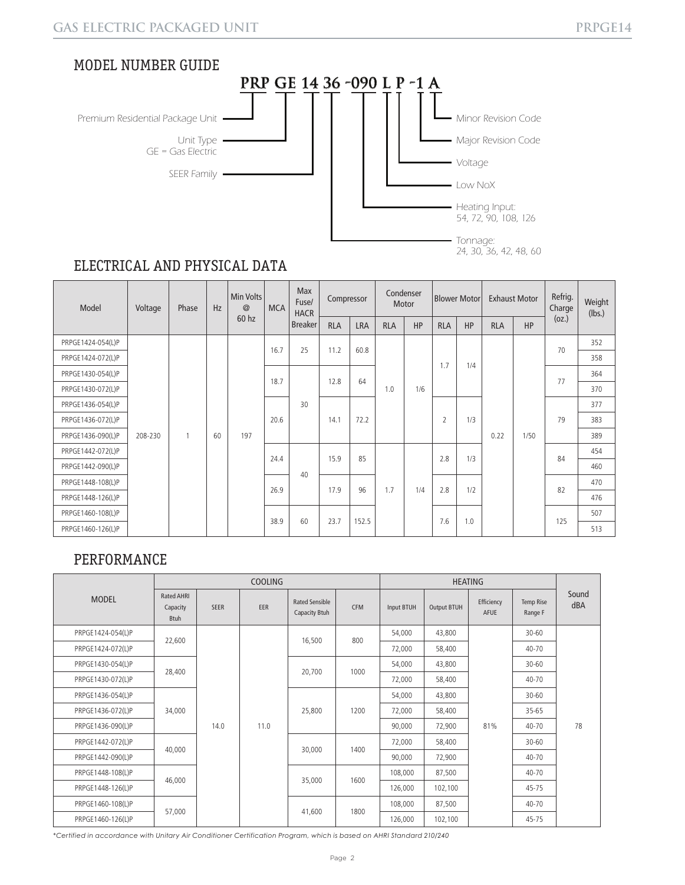

# ELECTRICAL AND PHYSICAL DATA

| Model             | Voltage | Phase | Hz | Min Volts<br>@ | <b>MCA</b> | <b>Max</b><br>Fuse/<br><b>HACR</b> | Compressor |            | Condenser<br>Motor |     | Blower Motor   |            | <b>Exhaust Motor</b> |      | Refrig.<br>Charge | Weight<br>(lbs.) |
|-------------------|---------|-------|----|----------------|------------|------------------------------------|------------|------------|--------------------|-----|----------------|------------|----------------------|------|-------------------|------------------|
|                   |         |       |    | 60 hz          |            | <b>Breaker</b>                     | <b>RLA</b> | <b>LRA</b> | <b>RLA</b>         | HP  | <b>RLA</b>     | <b>HP</b>  | <b>RLA</b>           | HP   | (oz.)             |                  |
| PRPGE1424-054(L)P |         |       |    |                | 16.7       | 25                                 | 11.2       | 60.8       |                    |     |                |            |                      |      | 70                | 352              |
| PRPGE1424-072(L)P |         |       |    |                |            |                                    |            |            |                    |     |                | 1.7<br>1/4 |                      |      |                   | 358              |
| PRPGE1430-054(L)P |         |       |    |                |            | 18.7                               | 12.8       | 64         | 1/6<br>1.0         |     |                |            |                      |      | 77                | 364              |
| PRPGE1430-072(L)P |         |       |    |                |            |                                    |            |            |                    |     |                |            |                      | 370  |                   |                  |
| PRPGE1436-054(L)P |         |       |    |                |            | 30 <sup>°</sup>                    |            |            |                    |     |                |            |                      |      | 79                | 377              |
| PRPGE1436-072(L)P |         |       |    |                | 20.6       |                                    | 14.1       | 72.2       |                    |     | $\overline{2}$ | 1/3        |                      | 1/50 |                   | 383              |
| PRPGE1436-090(L)P | 208-230 | 1     | 60 | 197            |            |                                    |            |            |                    |     |                |            | 0.22                 |      |                   | 389              |
| PRPGE1442-072(L)P |         |       |    |                | 24.4       |                                    | 15.9       | 85         |                    | 1/4 | 2.8            | 1/3        |                      |      | 84                | 454              |
| PRPGE1442-090(L)P |         |       |    |                |            | 40                                 |            |            |                    |     |                |            |                      |      |                   | 460              |
| PRPGE1448-108(L)P |         |       |    |                | 26.9       |                                    | 17.9       | 96         | 1.7                |     | 2.8            | 1/2        |                      |      | 82                | 470              |
| PRPGE1448-126(L)P |         |       |    |                |            |                                    |            |            |                    |     |                |            |                      |      |                   | 476              |
| PRPGE1460-108(L)P |         |       |    |                |            | 60                                 | 23.7       | 152.5      |                    |     |                | 1.0        |                      |      | 125               | 507              |
| PRPGE1460-126(L)P |         |       |    |                | 38.9       |                                    |            |            |                    |     | 7.6            |            |                      |      |                   | 513              |

## PERFORMANCE

|                   |                                              |             | <b>COOLING</b> |                                        |            |            |                    |                    |                      |              |  |
|-------------------|----------------------------------------------|-------------|----------------|----------------------------------------|------------|------------|--------------------|--------------------|----------------------|--------------|--|
| <b>MODEL</b>      | <b>Rated AHRI</b><br>Capacity<br><b>Btuh</b> | <b>SEER</b> | EER            | <b>Rated Sensible</b><br>Capacity Btuh | <b>CFM</b> | Input BTUH | <b>Output BTUH</b> | Efficiency<br>AFUE | Temp Rise<br>Range F | Sound<br>dBA |  |
| PRPGE1424-054(L)P |                                              |             |                |                                        |            | 54,000     | 43,800             |                    | $30 - 60$            |              |  |
| PRPGE1424-072(L)P | 22,600                                       |             |                | 16,500                                 | 800        | 72,000     | 58,400             |                    | $40 - 70$            |              |  |
| PRPGE1430-054(L)P | 28,400                                       |             |                | 20,700                                 | 1000       | 54,000     | 43,800             | 81%                | $30 - 60$            |              |  |
| PRPGE1430-072(L)P |                                              |             |                |                                        |            | 72,000     | 58,400             |                    | $40 - 70$            |              |  |
| PRPGE1436-054(L)P |                                              |             |                |                                        |            | 54,000     | 43,800             |                    | $30 - 60$            |              |  |
| PRPGE1436-072(L)P | 34,000                                       |             |                | 25,800                                 | 1200       | 72,000     | 58,400             |                    | $35 - 65$            |              |  |
| PRPGE1436-090(L)P |                                              | 14.0        | 11.0           |                                        |            | 90,000     | 72,900             |                    | 40-70                | 78           |  |
| PRPGE1442-072(L)P | 40,000                                       |             |                |                                        |            | 72,000     | 58,400             |                    | $30 - 60$            |              |  |
| PRPGE1442-090(L)P |                                              |             |                | 30,000                                 | 1400       | 90,000     | 72,900             |                    | 40-70                |              |  |
| PRPGE1448-108(L)P |                                              |             |                |                                        |            | 108,000    | 87,500             |                    | 40-70                |              |  |
| PRPGE1448-126(L)P | 46,000                                       |             |                | 35,000                                 | 1600       | 126,000    | 102,100            |                    | $45 - 75$            |              |  |
| PRPGE1460-108(L)P |                                              |             |                |                                        |            | 108,000    | 87,500             |                    | $40 - 70$            |              |  |
| PRPGE1460-126(L)P | 57,000                                       |             |                |                                        | 41,600     | 1800       | 126,000            | 102,100            |                      | 45-75        |  |

*\*Certified in accordance with Unitary Air Conditioner Certification Program, which is based on AHRI Standard 210/240*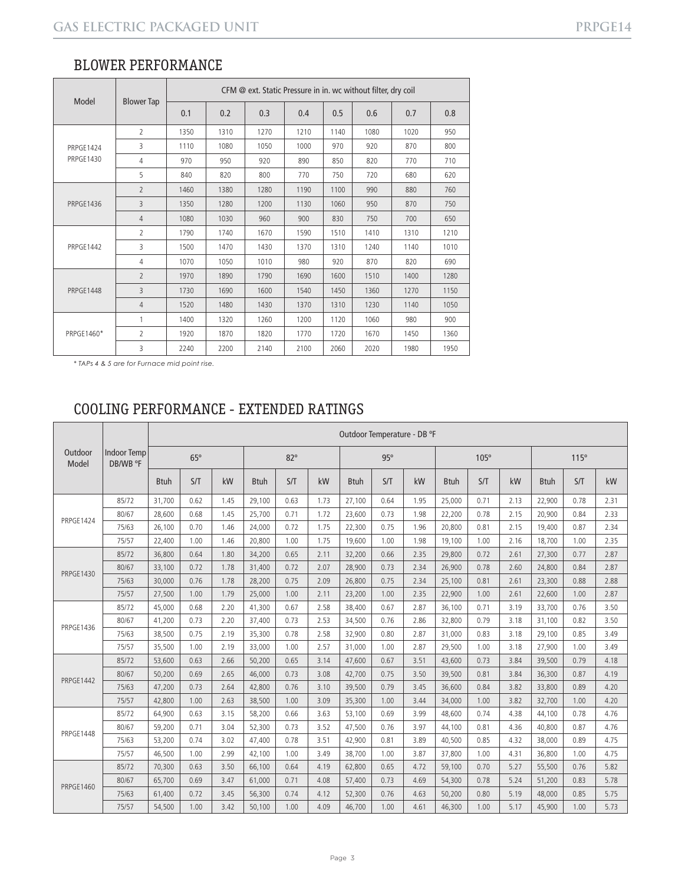| Model            |                   | CFM @ ext. Static Pressure in in. wc without filter, dry coil |      |      |      |                                              |                                                                                 |      |      |  |  |  |
|------------------|-------------------|---------------------------------------------------------------|------|------|------|----------------------------------------------|---------------------------------------------------------------------------------|------|------|--|--|--|
|                  | <b>Blower Tap</b> | 0.1                                                           | 0.2  | 0.3  | 0.4  | 0.5                                          | 0.6                                                                             | 0.7  | 0.8  |  |  |  |
|                  | $\overline{2}$    | 1350                                                          | 1310 | 1270 | 1210 | 1140                                         | 1080                                                                            | 1020 | 950  |  |  |  |
| PRPGE1424        | 3                 | 1110                                                          | 1080 | 1050 | 1000 | 970                                          | 920                                                                             | 870  | 800  |  |  |  |
| <b>PRPGE1430</b> | 4                 | 970                                                           | 950  | 920  | 890  | 850                                          | 820                                                                             | 770  | 710  |  |  |  |
|                  | 5                 | 840                                                           | 820  | 800  | 770  | 750                                          | 720                                                                             | 680  | 620  |  |  |  |
| <b>PRPGE1436</b> | $\overline{2}$    | 1460                                                          | 1380 | 1280 | 1190 | 1100                                         | 990                                                                             | 880  | 760  |  |  |  |
|                  | $\overline{3}$    | 1350                                                          | 1280 | 1200 | 1130 | 1060                                         | 950                                                                             | 870  | 750  |  |  |  |
|                  | $\overline{4}$    | 1080                                                          | 1030 | 960  | 900  | 830                                          | 750<br>700<br>1510<br>1410<br>1310<br>1310<br>1240<br>1140<br>920<br>870<br>820 | 650  |      |  |  |  |
|                  | $\overline{2}$    | 1790                                                          | 1740 | 1670 | 1590 |                                              |                                                                                 |      | 1210 |  |  |  |
| PRPGE1442        | 3                 | 1500                                                          | 1470 | 1430 | 1370 |                                              |                                                                                 |      | 1010 |  |  |  |
|                  | 4                 | 1070                                                          | 1050 | 1010 | 980  |                                              |                                                                                 |      | 690  |  |  |  |
|                  | $\overline{2}$    | 1970                                                          | 1890 | 1790 | 1690 | 1600                                         | 1510                                                                            | 1400 | 1280 |  |  |  |
| PRPGE1448        | 3                 | 1730                                                          | 1690 | 1600 | 1540 | 1450                                         | 1360                                                                            | 1270 | 1150 |  |  |  |
|                  | 4                 | 1520                                                          | 1480 | 1430 | 1370 | 1310<br>1230<br>1120<br>1060<br>1720<br>1670 | 1140                                                                            | 1050 |      |  |  |  |
|                  | 1                 | 1400                                                          | 1320 | 1260 | 1200 |                                              |                                                                                 | 980  | 900  |  |  |  |
| PRPGE1460*       | $\overline{2}$    | 1920                                                          | 1870 | 1820 | 1770 |                                              |                                                                                 | 1450 | 1360 |  |  |  |
|                  | 3                 | 2240                                                          | 2200 | 2140 | 2100 | 2060                                         | 2020                                                                            | 1980 | 1950 |  |  |  |

*\* TAPs 4 & 5 are for Furnace mid point rise.*

# COOLING PERFORMANCE - EXTENDED RATINGS

|                  |                                | Outdoor Temperature - DB °F |      |      |             |      |      |             |      |      |             |      |      |             |      |      |
|------------------|--------------------------------|-----------------------------|------|------|-------------|------|------|-------------|------|------|-------------|------|------|-------------|------|------|
| Outdoor<br>Model | <b>Indoor Temp</b><br>DB/WB °F | $65^\circ$                  |      |      | $82^\circ$  |      |      | 95°         |      |      | $105^\circ$ |      |      | 115°        |      |      |
|                  |                                | <b>Btuh</b>                 | S/T  | kW   | <b>Btuh</b> | S/T  | kW   | <b>Btuh</b> | S/T  | kW   | <b>Btuh</b> | S/T  | kW   | <b>Btuh</b> | S/T  | kW   |
|                  | 85/72                          | 31.700                      | 0.62 | 1.45 | 29,100      | 0.63 | 1.73 | 27,100      | 0.64 | 1.95 | 25,000      | 0.71 | 2.13 | 22,900      | 0.78 | 2.31 |
| <b>PRPGF1424</b> | 80/67                          | 28,600                      | 0.68 | 1.45 | 25,700      | 0.71 | 1.72 | 23,600      | 0.73 | 1.98 | 22,200      | 0.78 | 2.15 | 20,900      | 0.84 | 2.33 |
|                  | 75/63                          | 26,100                      | 0.70 | 1.46 | 24,000      | 0.72 | 1.75 | 22,300      | 0.75 | 1.96 | 20,800      | 0.81 | 2.15 | 19,400      | 0.87 | 2.34 |
|                  | 75/57                          | 22,400                      | 1.00 | 1.46 | 20,800      | 1.00 | 1.75 | 19,600      | 1.00 | 1.98 | 19,100      | 1.00 | 2.16 | 18,700      | 1.00 | 2.35 |
|                  | 85/72                          | 36,800                      | 0.64 | 1.80 | 34,200      | 0.65 | 2.11 | 32,200      | 0.66 | 2.35 | 29,800      | 0.72 | 2.61 | 27,300      | 0.77 | 2.87 |
| <b>PRPGE1430</b> | 80/67                          | 33,100                      | 0.72 | 1.78 | 31,400      | 0.72 | 2.07 | 28,900      | 0.73 | 2.34 | 26,900      | 0.78 | 2.60 | 24,800      | 0.84 | 2.87 |
|                  | 75/63                          | 30,000                      | 0.76 | 1.78 | 28,200      | 0.75 | 2.09 | 26,800      | 0.75 | 2.34 | 25,100      | 0.81 | 2.61 | 23,300      | 0.88 | 2.88 |
|                  | 75/57                          | 27,500                      | 1.00 | 1.79 | 25,000      | 1.00 | 2.11 | 23,200      | 1.00 | 2.35 | 22,900      | 1.00 | 2.61 | 22,600      | 1.00 | 2.87 |
| PRPGE1436        | 85/72                          | 45.000                      | 0.68 | 2.20 | 41,300      | 0.67 | 2.58 | 38,400      | 0.67 | 2.87 | 36,100      | 0.71 | 3.19 | 33,700      | 0.76 | 3.50 |
|                  | 80/67                          | 41,200                      | 0.73 | 2.20 | 37,400      | 0.73 | 2.53 | 34,500      | 0.76 | 2.86 | 32,800      | 0.79 | 3.18 | 31,100      | 0.82 | 3.50 |
|                  | 75/63                          | 38,500                      | 0.75 | 2.19 | 35,300      | 0.78 | 2.58 | 32,900      | 0.80 | 2.87 | 31,000      | 0.83 | 3.18 | 29,100      | 0.85 | 3.49 |
|                  | 75/57                          | 35,500                      | 1.00 | 2.19 | 33,000      | 1.00 | 2.57 | 31,000      | 1.00 | 2.87 | 29,500      | 1.00 | 3.18 | 27,900      | 1.00 | 3.49 |
|                  | 85/72                          | 53,600                      | 0.63 | 2.66 | 50,200      | 0.65 | 3.14 | 47,600      | 0.67 | 3.51 | 43,600      | 0.73 | 3.84 | 39,500      | 0.79 | 4.18 |
| PRPGE1442        | 80/67                          | 50,200                      | 0.69 | 2.65 | 46,000      | 0.73 | 3.08 | 42,700      | 0.75 | 3.50 | 39,500      | 0.81 | 3.84 | 36,300      | 0.87 | 4.19 |
|                  | 75/63                          | 47,200                      | 0.73 | 2.64 | 42,800      | 0.76 | 3.10 | 39,500      | 0.79 | 3.45 | 36,600      | 0.84 | 3.82 | 33,800      | 0.89 | 4.20 |
|                  | 75/57                          | 42,800                      | 1.00 | 2.63 | 38,500      | 1.00 | 3.09 | 35,300      | 1.00 | 3.44 | 34,000      | 1.00 | 3.82 | 32,700      | 1.00 | 4.20 |
|                  | 85/72                          | 64,900                      | 0.63 | 3.15 | 58,200      | 0.66 | 3.63 | 53,100      | 0.69 | 3.99 | 48,600      | 0.74 | 4.38 | 44,100      | 0.78 | 4.76 |
| PRPGE1448        | 80/67                          | 59,200                      | 0.71 | 3.04 | 52,300      | 0.73 | 3.52 | 47,500      | 0.76 | 3.97 | 44.100      | 0.81 | 4.36 | 40.800      | 0.87 | 4.76 |
|                  | 75/63                          | 53,200                      | 0.74 | 3.02 | 47,400      | 0.78 | 3.51 | 42,900      | 0.81 | 3.89 | 40,500      | 0.85 | 4.32 | 38,000      | 0.89 | 4.75 |
|                  | 75/57                          | 46.500                      | 1.00 | 2.99 | 42,100      | 1.00 | 3.49 | 38,700      | 1.00 | 3.87 | 37,800      | 1.00 | 4.31 | 36,800      | 1.00 | 4.75 |
|                  | 85/72                          | 70,300                      | 0.63 | 3.50 | 66,100      | 0.64 | 4.19 | 62,800      | 0.65 | 4.72 | 59,100      | 0.70 | 5.27 | 55,500      | 0.76 | 5.82 |
| <b>PRPGE1460</b> | 80/67                          | 65,700                      | 0.69 | 3.47 | 61,000      | 0.71 | 4.08 | 57,400      | 0.73 | 4.69 | 54,300      | 0.78 | 5.24 | 51,200      | 0.83 | 5.78 |
|                  | 75/63                          | 61,400                      | 0.72 | 3.45 | 56,300      | 0.74 | 4.12 | 52,300      | 0.76 | 4.63 | 50,200      | 0.80 | 5.19 | 48,000      | 0.85 | 5.75 |
|                  | 75/57                          | 54,500                      | 1.00 | 3.42 | 50,100      | 1.00 | 4.09 | 46.700      | 1.00 | 4.61 | 46,300      | 1.00 | 5.17 | 45,900      | 1.00 | 5.73 |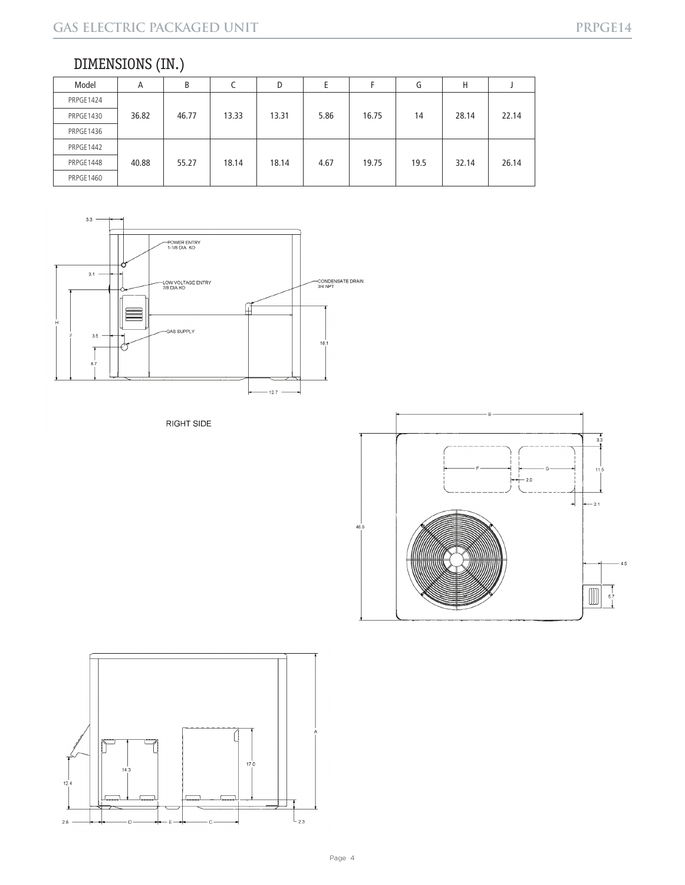# DIMENSIONS (IN.)

| Model     | A     | B     |       | D     | E    |       | G    | н     |       |
|-----------|-------|-------|-------|-------|------|-------|------|-------|-------|
| PRPGE1424 |       |       |       |       |      |       |      |       |       |
| PRPGE1430 | 36.82 | 46.77 | 13.33 | 13.31 | 5.86 | 16.75 | 14   | 28.14 | 22.14 |
| PRPGE1436 |       |       |       |       |      |       |      |       |       |
| PRPGE1442 |       |       |       |       |      |       |      |       |       |
| PRPGE1448 | 40.88 | 55.27 | 18.14 | 18.14 | 4.67 | 19.75 | 19.5 | 32.14 | 26.14 |
| PRPGE1460 |       |       |       |       |      |       |      |       |       |



RIGHT SIDE



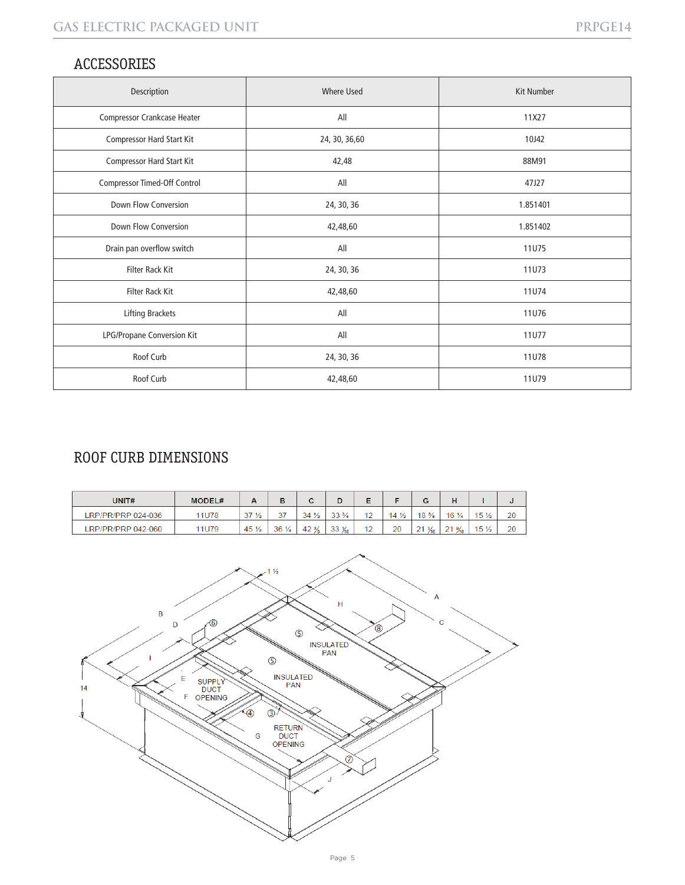# ACCESSORIES

| Description                         | <b>Where Used</b> | <b>Kit Number</b> |
|-------------------------------------|-------------------|-------------------|
| <b>Compressor Crankcase Heater</b>  | All               | 11X27             |
| Compressor Hard Start Kit           | 24, 30, 36, 60    | 10J42             |
| <b>Compressor Hard Start Kit</b>    | 42,48             | 88M91             |
| <b>Compressor Timed-Off Control</b> | All               | 47J27             |
| Down Flow Conversion                | 24, 30, 36        | 1.851401          |
| <b>Down Flow Conversion</b>         | 42,48,60          | 1.851402          |
| Drain pan overflow switch           | All               | 11U75             |
| Filter Rack Kit                     | 24, 30, 36        | <b>11U73</b>      |
| <b>Filter Rack Kit</b>              | 42,48,60          | 11U74             |
| Lifting Brackets                    | All               | <b>11U76</b>      |
| <b>LPG/Propane Conversion Kit</b>   | All               | <b>11U77</b>      |
| Roof Curb                           | 24, 30, 36        | <b>11U78</b>      |
| Roof Curb                           | 42,48,60          | 11U79             |

# ROOF CURB DIMENSIONS

| UNIT#              | <b>MODEL#</b> | n.              | в               |                 | D                |                 |                | G                    |                  |                 |    |
|--------------------|---------------|-----------------|-----------------|-----------------|------------------|-----------------|----------------|----------------------|------------------|-----------------|----|
| LRP/PR/PRP 024-036 | 11U78         | 37 <sub>2</sub> | 27<br>J1        | $34\frac{1}{2}$ | $33\frac{3}{4}$  | $\sqrt{2}$      | $4\frac{1}{2}$ | $18\frac{3}{4}$      | $16\frac{1}{4}$  | 15 <sub>2</sub> | 20 |
| LRP/PR/PRP 042-060 | 11U79         | $45\frac{1}{2}$ | $36\frac{1}{4}$ | $42\frac{3}{8}$ | $33\frac{1}{16}$ | $\triangleleft$ | 20             | 21<br>$\frac{3}{16}$ | $21\frac{9}{16}$ | $15\frac{1}{2}$ | 20 |